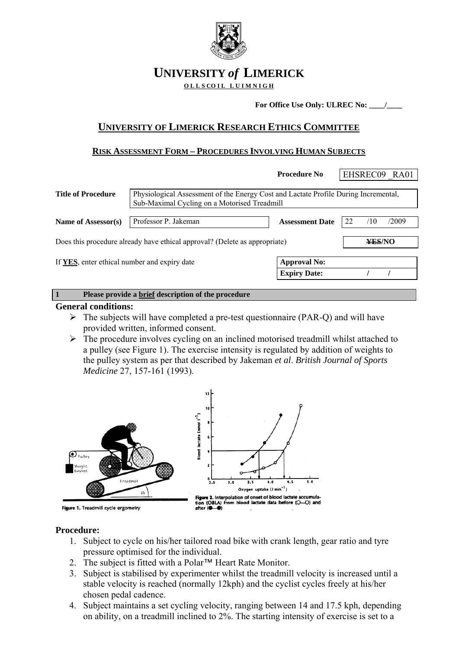

# **UNIVERSITY** *of* **LIMERICK**

**OLLS COIL LUIMNIGH** 

**For Office Use Only: ULREC No: \_\_\_\_/\_\_\_\_** 

## **UNIVERSITY OF LIMERICK RESEARCH ETHICS COMMITTEE**

### **RISK ASSESSMENT FORM – PROCEDURES INVOLVING HUMAN SUBJECTS**

|                                                                            |                                                                                                                                     | <b>Procedure No</b>    | EHSREC09 RA01      |  |  |
|----------------------------------------------------------------------------|-------------------------------------------------------------------------------------------------------------------------------------|------------------------|--------------------|--|--|
| <b>Title of Procedure</b>                                                  | Physiological Assessment of the Energy Cost and Lactate Profile During Incremental,<br>Sub-Maximal Cycling on a Motorised Treadmill |                        |                    |  |  |
| Name of Assessor(s)                                                        | Professor P. Jakeman                                                                                                                | <b>Assessment Date</b> | 22<br>/2009<br>/10 |  |  |
| Does this procedure already have ethical approval? (Delete as appropriate) | ¥ES/NO                                                                                                                              |                        |                    |  |  |
| If YES, enter ethical number and expiry date                               |                                                                                                                                     | <b>Approval No:</b>    |                    |  |  |
|                                                                            |                                                                                                                                     | <b>Expiry Date:</b>    |                    |  |  |
| $\mathbf{1}$                                                               | Please provide a brief description of the procedure                                                                                 |                        |                    |  |  |

#### **General conditions:**

- $\triangleright$  The subjects will have completed a pre-test questionnaire (PAR-Q) and will have provided written, informed consent.
- $\triangleright$  The procedure involves cycling on an inclined motorised treadmill whilst attached to a pulley (see Figure 1). The exercise intensity is regulated by addition of weights to the pulley system as per that described by Jakeman *et al*. *British Journal of Sports Medicine* 27, 157-161 (1993).



#### **Procedure:**

- 1. Subject to cycle on his/her tailored road bike with crank length, gear ratio and tyre pressure optimised for the individual.
- 2. The subject is fitted with a Polar™ Heart Rate Monitor.
- 3. Subject is stabilised by experimenter whilst the treadmill velocity is increased until a stable velocity is reached (normally 12kph) and the cyclist cycles freely at his/her chosen pedal cadence.
- 4. Subject maintains a set cycling velocity, ranging between 14 and 17.5 kph, depending on ability, on a treadmill inclined to 2%. The starting intensity of exercise is set to a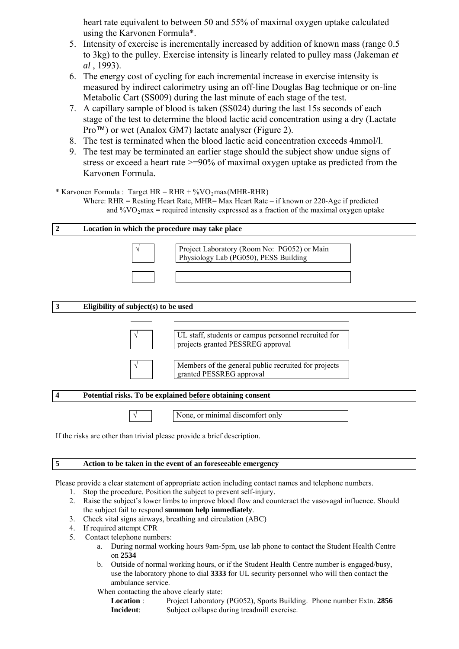heart rate equivalent to between 50 and 55% of maximal oxygen uptake calculated using the Karvonen Formula\*.

- 5. Intensity of exercise is incrementally increased by addition of known mass (range 0.5 to 3kg) to the pulley. Exercise intensity is linearly related to pulley mass (Jakeman *et al* , 1993).
- 6. The energy cost of cycling for each incremental increase in exercise intensity is measured by indirect calorimetry using an off-line Douglas Bag technique or on-line Metabolic Cart (SS009) during the last minute of each stage of the test.
- 7. A capillary sample of blood is taken (SS024) during the last 15s seconds of each stage of the test to determine the blood lactic acid concentration using a dry (Lactate Pro™) or wet (Analox GM7) lactate analyser (Figure 2).
- 8. The test is terminated when the blood lactic acid concentration exceeds 4mmol/l.
- 9. The test may be terminated an earlier stage should the subject show undue signs of stress or exceed a heart rate >=90% of maximal oxygen uptake as predicted from the Karvonen Formula.
- \* Karvonen Formula : Target  $HR = RHR + %VO<sub>2</sub>max(MHR-RHR)$ Where: RHR = Resting Heart Rate, MHR= Max Heart Rate – if known or 220-Age if predicted and  $\%$ VO<sub>2</sub>max = required intensity expressed as a fraction of the maximal oxygen uptake

#### **2 Location in which the procedure may take place**



#### **3 Eligibility of subject(s) to be used**



√ UL staff, students or campus personnel recruited for projects granted PESSREG approval



#### **4 Potential risks. To be explained before obtaining consent**

 $\sqrt{\phantom{a}}$  None, or minimal discomfort only

If the risks are other than trivial please provide a brief description.

#### **5 Action to be taken in the event of an foreseeable emergency**

Please provide a clear statement of appropriate action including contact names and telephone numbers.

- 1. Stop the procedure. Position the subject to prevent self-injury.
- 2. Raise the subject's lower limbs to improve blood flow and counteract the vasovagal influence. Should the subject fail to respond **summon help immediately**.
- 3. Check vital signs airways, breathing and circulation (ABC)
- 4. If required attempt CPR
- 5. Contact telephone numbers:
	- a. During normal working hours 9am-5pm, use lab phone to contact the Student Health Centre on **2534**
	- b. Outside of normal working hours, or if the Student Health Centre number is engaged/busy, use the laboratory phone to dial **3333** for UL security personnel who will then contact the ambulance service.
	- When contacting the above clearly state:
		- **Location** : Project Laboratory (PG052), Sports Building. Phone number Extn. **2856 Incident**: Subject collapse during treadmill exercise.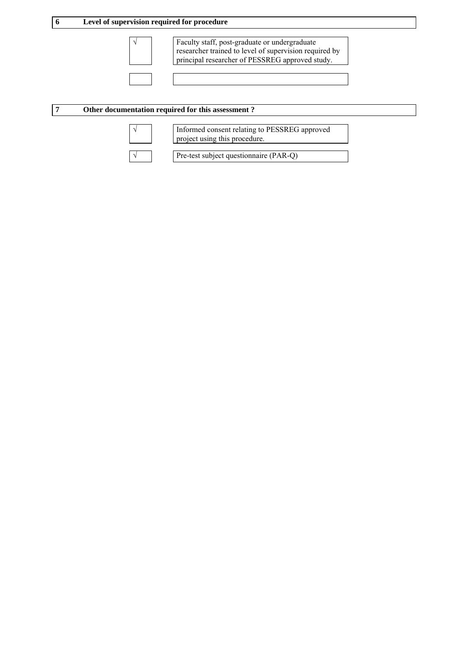

√ Faculty staff, post-graduate or undergraduate researcher trained to level of supervision required by principal researcher of PESSREG approved study.

#### **7 Other documentation required for this assessment ?**